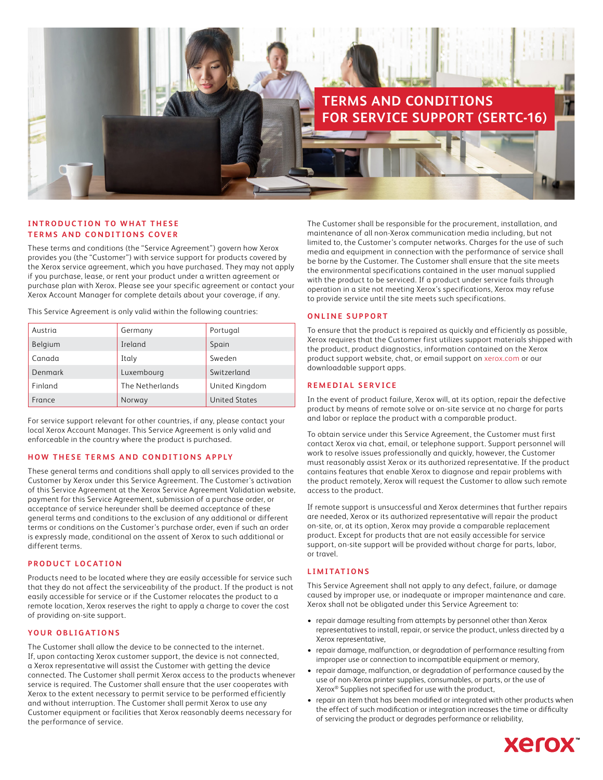

### **INTRODUCTION TO WHAT THESE TERMS AND CONDITIONS COVER**

These terms and conditions (the "Service Agreement") govern how Xerox provides you (the "Customer") with service support for products covered by the Xerox service agreement, which you have purchased. They may not apply if you purchase, lease, or rent your product under a written agreement or purchase plan with Xerox. Please see your specific agreement or contact your Xerox Account Manager for complete details about your coverage, if any.

This Service Agreement is only valid within the following countries:

| Austria | Germany         | Portugal             |
|---------|-----------------|----------------------|
| Belgium | Ireland         | Spain                |
| Canada  | Italy           | Sweden               |
| Denmark | Luxembourg      | Switzerland          |
| Finland | The Netherlands | United Kingdom       |
| France  | Norway          | <b>United States</b> |

For service support relevant for other countries, if any, please contact your local Xerox Account Manager. This Service Agreement is only valid and enforceable in the country where the product is purchased.

### **HOW THESE TERMS AND CONDITIONS APPLY**

These general terms and conditions shall apply to all services provided to the Customer by Xerox under this Service Agreement. The Customer's activation of this Service Agreement at the Xerox Service Agreement Validation website, payment for this Service Agreement, submission of a purchase order, or acceptance of service hereunder shall be deemed acceptance of these general terms and conditions to the exclusion of any additional or different terms or conditions on the Customer's purchase order, even if such an order is expressly made, conditional on the assent of Xerox to such additional or different terms.

### **PRODUCT LOCATION**

Products need to be located where they are easily accessible for service such that they do not affect the serviceability of the product. If the product is not easily accessible for service or if the Customer relocates the product to a remote location, Xerox reserves the right to apply a charge to cover the cost of providing on-site support.

## **YOUR OBLIGATIONS**

The Customer shall allow the device to be connected to the internet. If, upon contacting Xerox customer support, the device is not connected, a Xerox representative will assist the Customer with getting the device connected. The Customer shall permit Xerox access to the products whenever service is required. The Customer shall ensure that the user cooperates with Xerox to the extent necessary to permit service to be performed efficiently and without interruption. The Customer shall permit Xerox to use any Customer equipment or facilities that Xerox reasonably deems necessary for the performance of service.

The Customer shall be responsible for the procurement, installation, and maintenance of all non-Xerox communication media including, but not limited to, the Customer's computer networks. Charges for the use of such media and equipment in connection with the performance of service shall be borne by the Customer. The Customer shall ensure that the site meets the environmental specifications contained in the user manual supplied with the product to be serviced. If a product under service fails through operation in a site not meeting Xerox's specifications, Xerox may refuse to provide service until the site meets such specifications.

### **ONLINE SUPPORT**

To ensure that the product is repaired as quickly and efficiently as possible, Xerox requires that the Customer first utilizes support materials shipped with the product, product diagnostics, information contained on the Xerox product support website, chat, or email support on [xerox.com](https://www.xerox.com/) or our downloadable support apps.

## **REMEDIAL SERVICE**

In the event of product failure, Xerox will, at its option, repair the defective product by means of remote solve or on-site service at no charge for parts and labor or replace the product with a comparable product.

To obtain service under this Service Agreement, the Customer must first contact Xerox via chat, email, or telephone support. Support personnel will work to resolve issues professionally and quickly, however, the Customer must reasonably assist Xerox or its authorized representative. If the product contains features that enable Xerox to diagnose and repair problems with the product remotely, Xerox will request the Customer to allow such remote access to the product.

If remote support is unsuccessful and Xerox determines that further repairs are needed, Xerox or its authorized representative will repair the product on-site, or, at its option, Xerox may provide a comparable replacement product. Except for products that are not easily accessible for service support, on-site support will be provided without charge for parts, labor, or travel.

### **LIMITATIONS**

This Service Agreement shall not apply to any defect, failure, or damage caused by improper use, or inadequate or improper maintenance and care. Xerox shall not be obligated under this Service Agreement to:

- repair damage resulting from attempts by personnel other than Xerox representatives to install, repair, or service the product, unless directed by a Xerox representative,
- repair damage, malfunction, or degradation of performance resulting from improper use or connection to incompatible equipment or memory,
- repair damage, malfunction, or degradation of performance caused by the use of non-Xerox printer supplies, consumables, or parts, or the use of Xerox® Supplies not specified for use with the product,
- repair an item that has been modified or integrated with other products when the effect of such modification or integration increases the time or difficulty of servicing the product or degrades performance or reliability,

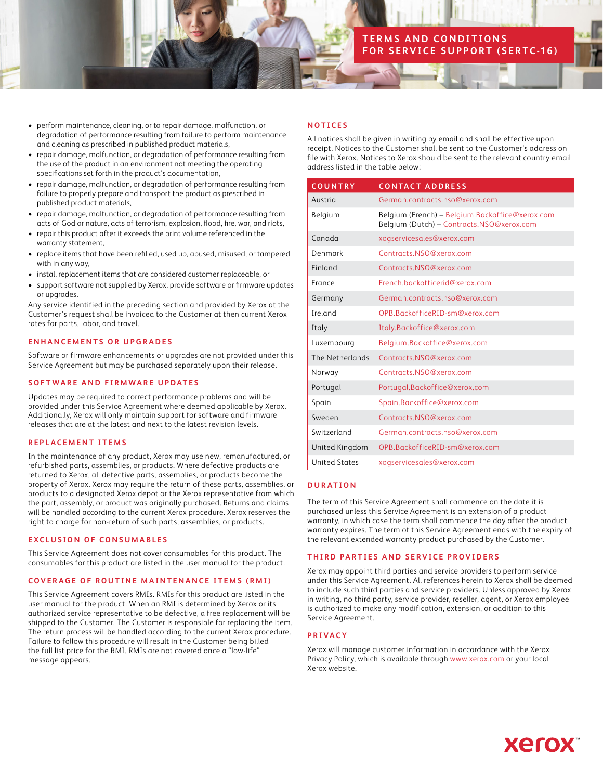# **TERMS AND CONDITIONS FOR SERVICE SUPPORT (SERTC-16)**

- perform maintenance, cleaning, or to repair damage, malfunction, or degradation of performance resulting from failure to perform maintenance and cleaning as prescribed in published product materials,
- repair damage, malfunction, or degradation of performance resulting from the use of the product in an environment not meeting the operating specifications set forth in the product's documentation,
- repair damage, malfunction, or degradation of performance resulting from failure to properly prepare and transport the product as prescribed in published product materials,
- repair damage, malfunction, or degradation of performance resulting from acts of God or nature, acts of terrorism, explosion, flood, fire, war, and riots,
- repair this product after it exceeds the print volume referenced in the warranty statement,
- replace items that have been refilled, used up, abused, misused, or tampered with in any way,
- install replacement items that are considered customer replaceable, or
- support software not supplied by Xerox, provide software or firmware updates or upgrades.

Any service identified in the preceding section and provided by Xerox at the Customer's request shall be invoiced to the Customer at then current Xerox rates for parts, labor, and travel.

## **ENHANCEMENTS OR UPGRADES**

Software or firmware enhancements or upgrades are not provided under this Service Agreement but may be purchased separately upon their release.

## **SOFTWARE AND FIRMWARE UPDATES**

Updates may be required to correct performance problems and will be provided under this Service Agreement where deemed applicable by Xerox. Additionally, Xerox will only maintain support for software and firmware releases that are at the latest and next to the latest revision levels.

### **REPLACEMENT ITEMS**

In the maintenance of any product, Xerox may use new, remanufactured, or refurbished parts, assemblies, or products. Where defective products are returned to Xerox, all defective parts, assemblies, or products become the property of Xerox. Xerox may require the return of these parts, assemblies, or products to a designated Xerox depot or the Xerox representative from which the part, assembly, or product was originally purchased. Returns and claims will be handled according to the current Xerox procedure. Xerox reserves the right to charge for non-return of such parts, assemblies, or products.

### **EXCLUSION OF CONSUMABLES**

This Service Agreement does not cover consumables for this product. The consumables for this product are listed in the user manual for the product.

## **COVERAGE OF ROUTINE MAINTENANCE ITEMS (RMI)**

This Service Agreement covers RMIs. RMIs for this product are listed in the user manual for the product. When an RMI is determined by Xerox or its authorized service representative to be defective, a free replacement will be shipped to the Customer. The Customer is responsible for replacing the item. The return process will be handled according to the current Xerox procedure. Failure to follow this procedure will result in the Customer being billed the full list price for the RMI. RMIs are not covered once a "low-life" message appears.

## **NOTICES**

All notices shall be given in writing by email and shall be effective upon receipt. Notices to the Customer shall be sent to the Customer's address on file with Xerox. Notices to Xerox should be sent to the relevant country email address listed in the table below:

| <b>COUNTRY</b>       | <b>CONTACT ADDRESS</b>                                                                       |
|----------------------|----------------------------------------------------------------------------------------------|
| Austria              | German.contracts.nso@xerox.com                                                               |
| Belgium              | Belgium (French) - Belgium.Backoffice@xerox.com<br>Belgium (Dutch) - Contracts.NSO@xerox.com |
| Canada               | xogservicesales@xerox.com                                                                    |
| Denmark              | Contracts.NSO@xerox.com                                                                      |
| Finland              | Contracts.NSO@xerox.com                                                                      |
| France               | French.backofficerid@xerox.com                                                               |
| Germany              | German.contracts.nso@xerox.com                                                               |
| Ireland              | OPB.BackofficeRID-sm@xerox.com                                                               |
| Italy                | Italy.Backoffice@xerox.com                                                                   |
| Luxembourg           | Belgium.Backoffice@xerox.com                                                                 |
| The Netherlands      | Contracts.NSO@xerox.com                                                                      |
| Norway               | Contracts.NSO@xerox.com                                                                      |
| Portugal             | Portugal.Backoffice@xerox.com                                                                |
| Spain                | Spain.Backoffice@xerox.com                                                                   |
| Sweden               | Contracts.NSO@xerox.com                                                                      |
| Switzerland          | German.contracts.nso@xerox.com                                                               |
| United Kingdom       | OPB.BackofficeRID-sm@xerox.com                                                               |
| <b>United States</b> | xogservicesales@xerox.com                                                                    |

## **DURATION**

The term of this Service Agreement shall commence on the date it is purchased unless this Service Agreement is an extension of a product warranty, in which case the term shall commence the day after the product warranty expires. The term of this Service Agreement ends with the expiry of the relevant extended warranty product purchased by the Customer.

## **THIRD PARTIES AND SERVICE PROVIDERS**

Xerox may appoint third parties and service providers to perform service under this Service Agreement. All references herein to Xerox shall be deemed to include such third parties and service providers. Unless approved by Xerox in writing, no third party, service provider, reseller, agent, or Xerox employee is authorized to make any modification, extension, or addition to this Service Agreement.

### **PRIVACY**

Xerox will manage customer information in accordance with the Xerox Privacy Policy, which is available through [www.xerox.com](http://www.xerox.com) or your local Xerox website.